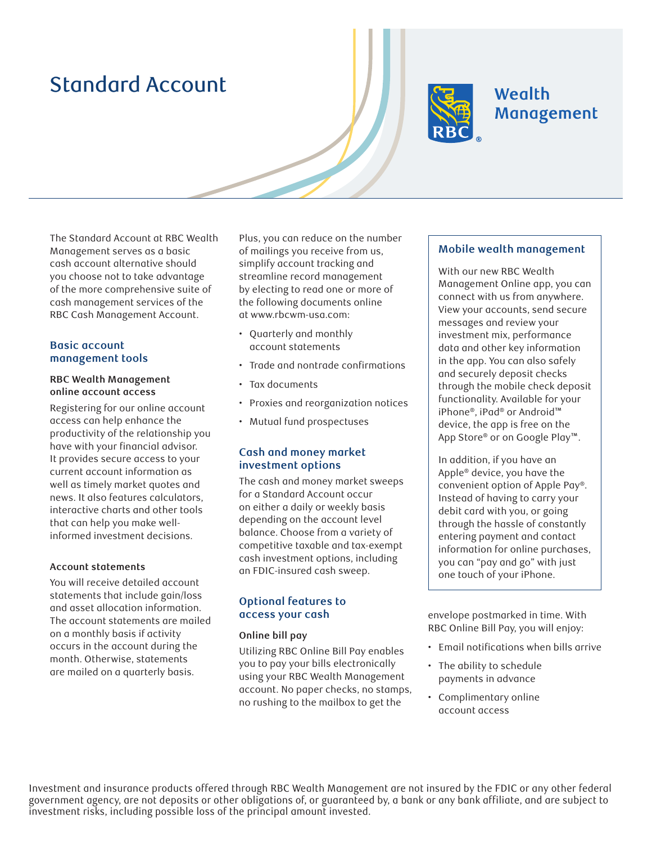# Standard Account



# **Wealth** Management

The Standard Account at RBC Wealth Management serves as a basic cash account alternative should you choose not to take advantage of the more comprehensive suite of cash management services of the RBC Cash Management Account.

#### **Basic account management tools**

#### **RBC Wealth Management online account access**

Registering for our online account access can help enhance the productivity of the relationship you have with your financial advisor. It provides secure access to your current account information as well as timely market quotes and news. It also features calculators, interactive charts and other tools that can help you make wellinformed investment decisions.

#### **Account statements**

You will receive detailed account statements that include gain/loss and asset allocation information. The account statements are mailed on a monthly basis if activity occurs in the account during the month. Otherwise, statements are mailed on a quarterly basis.

Plus, you can reduce on the number of mailings you receive from us, simplify account tracking and streamline record management by electing to read one or more of the following documents online at www.rbcwm-usa.com:

- Quarterly and monthly account statements
- Trade and nontrade confirmations
- Tax documents
- Proxies and reorganization notices
- Mutual fund prospectuses

## **Cash and money market investment options**

The cash and money market sweeps for a Standard Account occur on either a daily or weekly basis depending on the account level balance. Choose from a variety of competitive taxable and tax-exempt cash investment options, including an FDIC-insured cash sweep.

## **Optional features to access your cash**

#### **Online bill pay**

Utilizing RBC Online Bill Pay enables you to pay your bills electronically using your RBC Wealth Management account. No paper checks, no stamps, no rushing to the mailbox to get the

## **Mobile wealth management**

With our new RBC Wealth Management Online app, you can connect with us from anywhere. View your accounts, send secure messages and review your investment mix, performance data and other key information in the app. You can also safely and securely deposit checks through the mobile check deposit functionality. Available for your iPhone®, iPad® or Android™ device, the app is free on the App Store® or on Google Play™.

In addition, if you have an Apple® device, you have the convenient option of Apple Pay®. Instead of having to carry your debit card with you, or going through the hassle of constantly entering payment and contact information for online purchases, you can "pay and go" with just one touch of your iPhone.

envelope postmarked in time. With RBC Online Bill Pay, you will enjoy:

- Email notifications when bills arrive
- The ability to schedule payments in advance
- Complimentary online account access

Investment and insurance products offered through RBC Wealth Management are not insured by the FDIC or any other federal government agency, are not deposits or other obligations of, or guaranteed by, a bank or any bank affiliate, and are subject to investment risks, including possible loss of the principal amount invested.